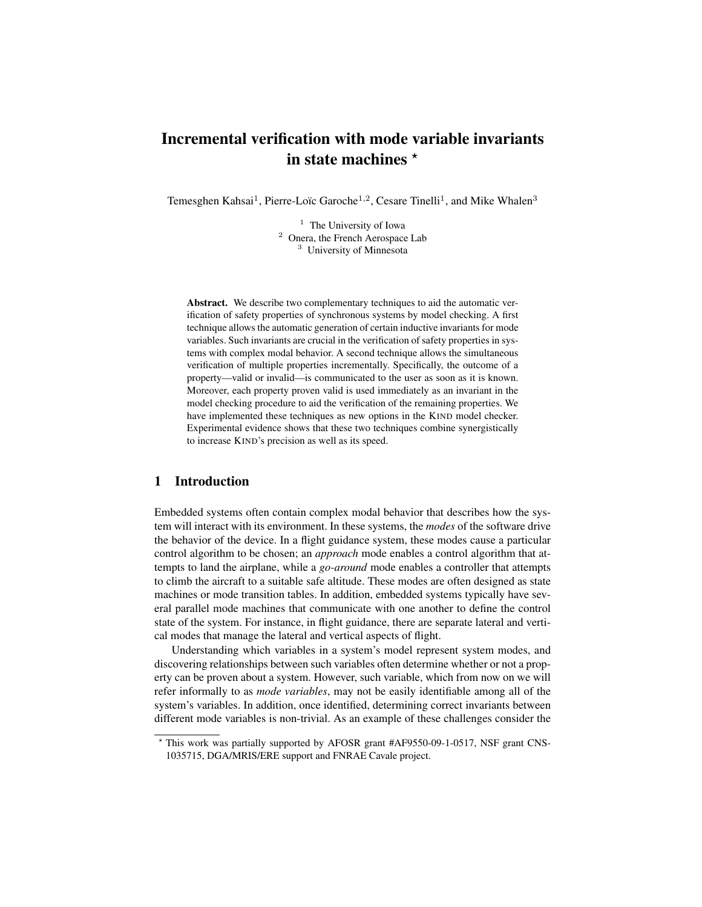# Incremental verification with mode variable invariants in state machines  $\star$

Temesghen Kahsai<sup>1</sup>, Pierre-Loïc Garoche<sup>1,2</sup>, Cesare Tinelli<sup>1</sup>, and Mike Whalen<sup>3</sup>

<sup>1</sup> The University of Iowa <sup>2</sup> Onera, the French Aerospace Lab <sup>3</sup> University of Minnesota

Abstract. We describe two complementary techniques to aid the automatic verification of safety properties of synchronous systems by model checking. A first technique allows the automatic generation of certain inductive invariants for mode variables. Such invariants are crucial in the verification of safety properties in systems with complex modal behavior. A second technique allows the simultaneous verification of multiple properties incrementally. Specifically, the outcome of a property—valid or invalid—is communicated to the user as soon as it is known. Moreover, each property proven valid is used immediately as an invariant in the model checking procedure to aid the verification of the remaining properties. We have implemented these techniques as new options in the KIND model checker. Experimental evidence shows that these two techniques combine synergistically to increase KIND's precision as well as its speed.

## 1 Introduction

Embedded systems often contain complex modal behavior that describes how the system will interact with its environment. In these systems, the *modes* of the software drive the behavior of the device. In a flight guidance system, these modes cause a particular control algorithm to be chosen; an *approach* mode enables a control algorithm that attempts to land the airplane, while a *go-around* mode enables a controller that attempts to climb the aircraft to a suitable safe altitude. These modes are often designed as state machines or mode transition tables. In addition, embedded systems typically have several parallel mode machines that communicate with one another to define the control state of the system. For instance, in flight guidance, there are separate lateral and vertical modes that manage the lateral and vertical aspects of flight.

Understanding which variables in a system's model represent system modes, and discovering relationships between such variables often determine whether or not a property can be proven about a system. However, such variable, which from now on we will refer informally to as *mode variables*, may not be easily identifiable among all of the system's variables. In addition, once identified, determining correct invariants between different mode variables is non-trivial. As an example of these challenges consider the

<sup>?</sup> This work was partially supported by AFOSR grant #AF9550-09-1-0517, NSF grant CNS-1035715, DGA/MRIS/ERE support and FNRAE Cavale project.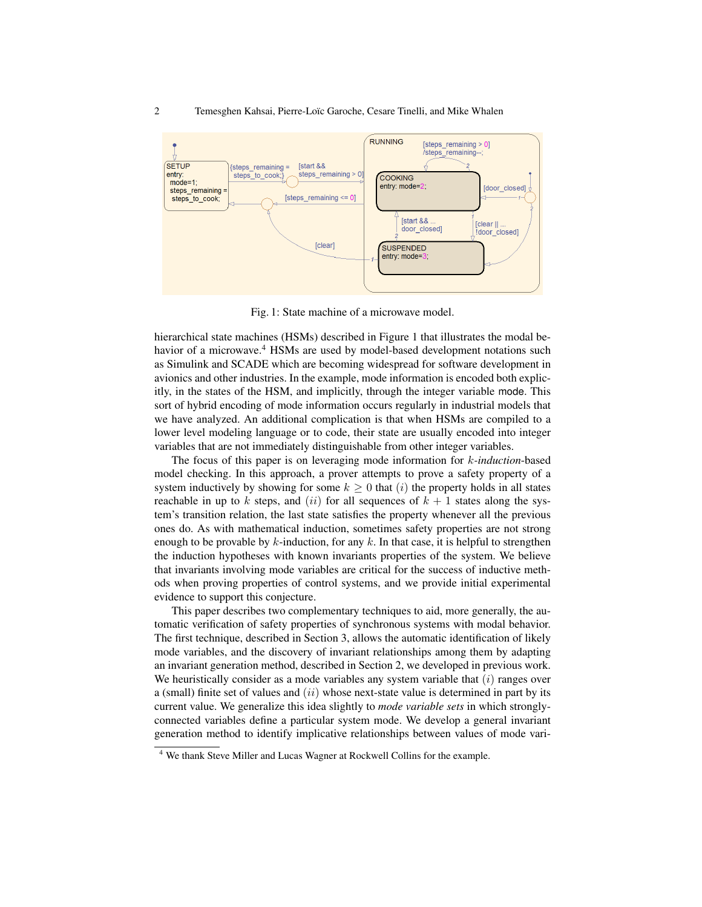#### 2 Temesghen Kahsai, Pierre-Loïc Garoche, Cesare Tinelli, and Mike Whalen



Fig. 1: State machine of a microwave model.

hierarchical state machines (HSMs) described in Figure 1 that illustrates the modal behavior of a microwave.<sup>4</sup> HSMs are used by model-based development notations such as Simulink and SCADE which are becoming widespread for software development in avionics and other industries. In the example, mode information is encoded both explicitly, in the states of the HSM, and implicitly, through the integer variable mode. This sort of hybrid encoding of mode information occurs regularly in industrial models that we have analyzed. An additional complication is that when HSMs are compiled to a lower level modeling language or to code, their state are usually encoded into integer variables that are not immediately distinguishable from other integer variables.

The focus of this paper is on leveraging mode information for k*-induction*-based model checking. In this approach, a prover attempts to prove a safety property of a system inductively by showing for some  $k > 0$  that (i) the property holds in all states reachable in up to k steps, and (ii) for all sequences of  $k + 1$  states along the system's transition relation, the last state satisfies the property whenever all the previous ones do. As with mathematical induction, sometimes safety properties are not strong enough to be provable by  $k$ -induction, for any  $k$ . In that case, it is helpful to strengthen the induction hypotheses with known invariants properties of the system. We believe that invariants involving mode variables are critical for the success of inductive methods when proving properties of control systems, and we provide initial experimental evidence to support this conjecture.

This paper describes two complementary techniques to aid, more generally, the automatic verification of safety properties of synchronous systems with modal behavior. The first technique, described in Section 3, allows the automatic identification of likely mode variables, and the discovery of invariant relationships among them by adapting an invariant generation method, described in Section 2, we developed in previous work. We heuristically consider as a mode variables any system variable that  $(i)$  ranges over a (small) finite set of values and  $(ii)$  whose next-state value is determined in part by its current value. We generalize this idea slightly to *mode variable sets* in which stronglyconnected variables define a particular system mode. We develop a general invariant generation method to identify implicative relationships between values of mode vari-

<sup>4</sup> We thank Steve Miller and Lucas Wagner at Rockwell Collins for the example.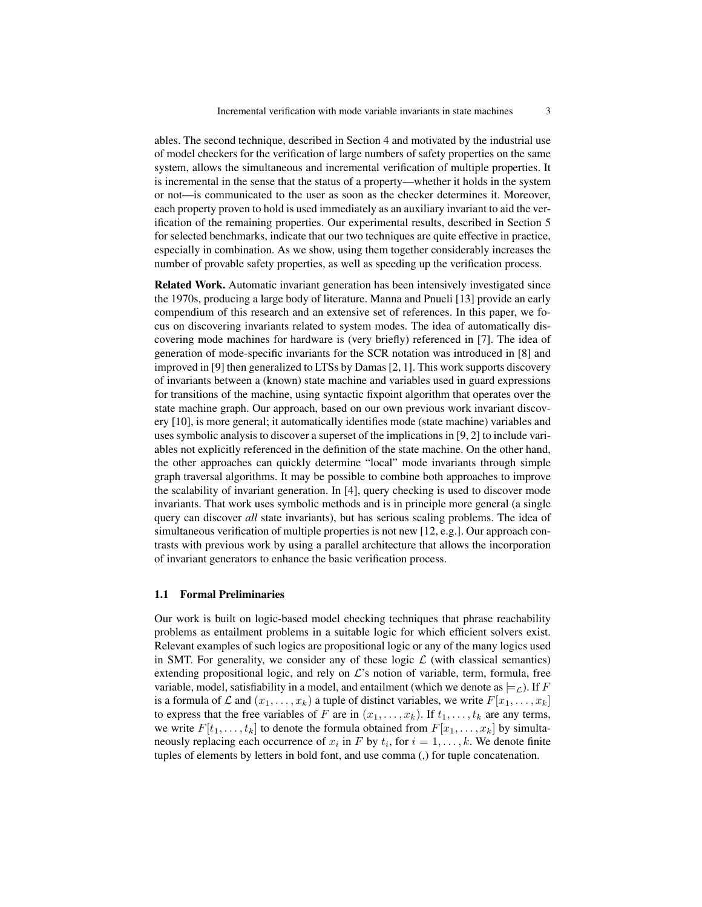ables. The second technique, described in Section 4 and motivated by the industrial use of model checkers for the verification of large numbers of safety properties on the same system, allows the simultaneous and incremental verification of multiple properties. It is incremental in the sense that the status of a property—whether it holds in the system or not—is communicated to the user as soon as the checker determines it. Moreover, each property proven to hold is used immediately as an auxiliary invariant to aid the verification of the remaining properties. Our experimental results, described in Section 5 for selected benchmarks, indicate that our two techniques are quite effective in practice, especially in combination. As we show, using them together considerably increases the number of provable safety properties, as well as speeding up the verification process.

Related Work. Automatic invariant generation has been intensively investigated since the 1970s, producing a large body of literature. Manna and Pnueli [13] provide an early compendium of this research and an extensive set of references. In this paper, we focus on discovering invariants related to system modes. The idea of automatically discovering mode machines for hardware is (very briefly) referenced in [7]. The idea of generation of mode-specific invariants for the SCR notation was introduced in [8] and improved in [9] then generalized to LTSs by Damas [2, 1]. This work supports discovery of invariants between a (known) state machine and variables used in guard expressions for transitions of the machine, using syntactic fixpoint algorithm that operates over the state machine graph. Our approach, based on our own previous work invariant discovery [10], is more general; it automatically identifies mode (state machine) variables and uses symbolic analysis to discover a superset of the implications in [9, 2] to include variables not explicitly referenced in the definition of the state machine. On the other hand, the other approaches can quickly determine "local" mode invariants through simple graph traversal algorithms. It may be possible to combine both approaches to improve the scalability of invariant generation. In [4], query checking is used to discover mode invariants. That work uses symbolic methods and is in principle more general (a single query can discover *all* state invariants), but has serious scaling problems. The idea of simultaneous verification of multiple properties is not new [12, e.g.]. Our approach contrasts with previous work by using a parallel architecture that allows the incorporation of invariant generators to enhance the basic verification process.

### 1.1 Formal Preliminaries

Our work is built on logic-based model checking techniques that phrase reachability problems as entailment problems in a suitable logic for which efficient solvers exist. Relevant examples of such logics are propositional logic or any of the many logics used in SMT. For generality, we consider any of these logic  $\mathcal L$  (with classical semantics) extending propositional logic, and rely on  $\mathcal{L}$ 's notion of variable, term, formula, free variable, model, satisfiability in a model, and entailment (which we denote as  $\models$ <sub>*C*</sub>). If *F* is a formula of L and  $(x_1, \ldots, x_k)$  a tuple of distinct variables, we write  $F[x_1, \ldots, x_k]$ to express that the free variables of F are in  $(x_1, \ldots, x_k)$ . If  $t_1, \ldots, t_k$  are any terms, we write  $F[t_1, \ldots, t_k]$  to denote the formula obtained from  $F[x_1, \ldots, x_k]$  by simultaneously replacing each occurrence of  $x_i$  in F by  $t_i$ , for  $i = 1, \ldots, k$ . We denote finite tuples of elements by letters in bold font, and use comma (,) for tuple concatenation.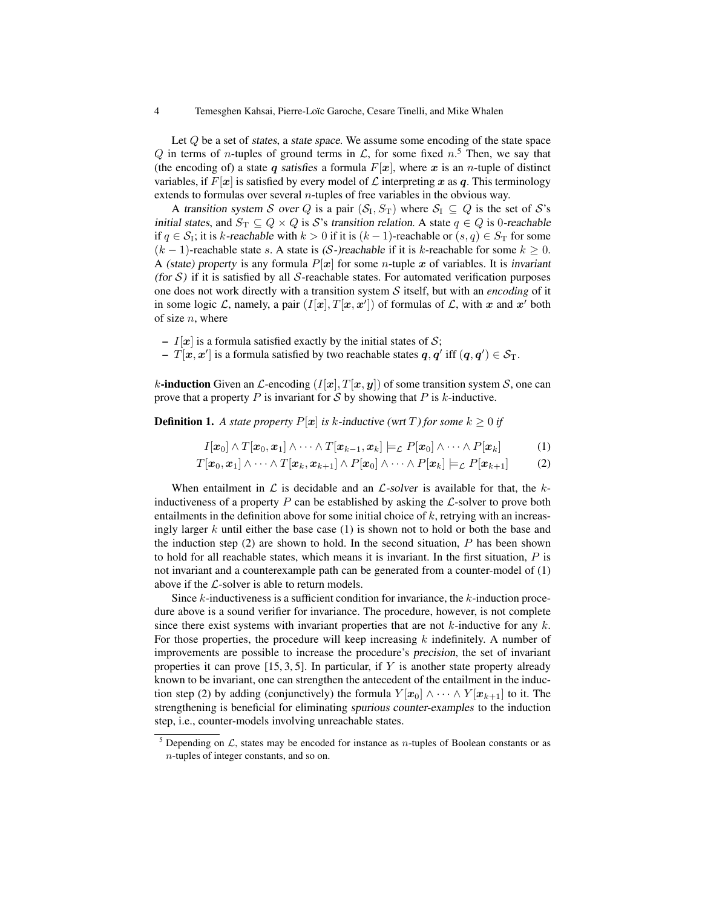4 Temesghen Kahsai, Pierre-Lo¨ıc Garoche, Cesare Tinelli, and Mike Whalen

Let  $Q$  be a set of *states*, a *state space*. We assume some encoding of the *state space* Q in terms of *n*-tuples of ground terms in  $\mathcal{L}$ , for some fixed  $n^5$ . Then, we say that (the encoding of) a state q satisfies a formula  $F[x]$ , where x is an *n*-tuple of distinct variables, if  $F[x]$  is satisfied by every model of  $\mathcal L$  interpreting x as q. This terminology extends to formulas over several  $n$ -tuples of free variables in the obvious way.

A transition system S over Q is a pair  $(S_I, S_T)$  where  $S_I \subseteq Q$  is the set of S's initial states, and  $S_T \subseteq Q \times Q$  is S's transition relation. A state  $q \in Q$  is 0-reachable if  $q \in S_I$ ; it is k-reachable with  $k > 0$  if it is  $(k-1)$ -reachable or  $(s, q) \in S_T$  for some  $(k-1)$ -reachable state s. A state is  $(S-)$ reachable if it is k-reachable for some  $k \geq 0$ . A (state) property is any formula  $P[x]$  for some *n*-tuple x of variables. It is invariant (for  $S$ ) if it is satisfied by all  $S$ -reachable states. For automated verification purposes one does not work directly with a transition system S itself, but with an *encoding* of it in some logic L, namely, a pair  $(I[x], T[x, x'])$  of formulas of L, with x and x' both of size  $n$ , where

–  $I[x]$  is a formula satisfied exactly by the initial states of S;

 $-I[x,x']$  is a formula satisfied by two reachable states  $q, q'$  iff  $(q, q') \in S_T$ .

k-induction Given an L-encoding  $(I[x], T[x, y])$  of some transition system S, one can prove that a property  $P$  is invariant for  $S$  by showing that  $P$  is  $k$ -inductive.

**Definition 1.** *A state property*  $P[\mathbf{x}]$  *is k*-inductive (wrt T) *for some*  $k \geq 0$  *if* 

$$
I[\mathbf{x}_0] \wedge T[\mathbf{x}_0, \mathbf{x}_1] \wedge \cdots \wedge T[\mathbf{x}_{k-1}, \mathbf{x}_k] \models_{\mathcal{L}} P[\mathbf{x}_0] \wedge \cdots \wedge P[\mathbf{x}_k]
$$
 (1)

$$
T[\boldsymbol{x}_0, \boldsymbol{x}_1] \wedge \cdots \wedge T[\boldsymbol{x}_k, \boldsymbol{x}_{k+1}] \wedge P[\boldsymbol{x}_0] \wedge \cdots \wedge P[\boldsymbol{x}_k] \models_{\mathcal{L}} P[\boldsymbol{x}_{k+1}] \qquad (2)
$$

When entailment in  $\mathcal L$  is decidable and an  $\mathcal L$ -solver is available for that, the kinductiveness of a property  $P$  can be established by asking the  $\mathcal{L}$ -solver to prove both entailments in the definition above for some initial choice of  $k$ , retrying with an increasingly larger  $k$  until either the base case  $(1)$  is shown not to hold or both the base and the induction step  $(2)$  are shown to hold. In the second situation, P has been shown to hold for all reachable states, which means it is invariant. In the first situation,  $P$  is not invariant and a counterexample path can be generated from a counter-model of (1) above if the L-solver is able to return models.

Since  $k$ -inductiveness is a sufficient condition for invariance, the  $k$ -induction procedure above is a sound verifier for invariance. The procedure, however, is not complete since there exist systems with invariant properties that are not  $k$ -inductive for any  $k$ . For those properties, the procedure will keep increasing  $k$  indefinitely. A number of improvements are possible to increase the procedure's precision, the set of invariant properties it can prove  $[15, 3, 5]$ . In particular, if Y is another state property already known to be invariant, one can strengthen the antecedent of the entailment in the induction step (2) by adding (conjunctively) the formula  $Y[x_0] \wedge \cdots \wedge Y[x_{k+1}]$  to it. The strengthening is beneficial for eliminating spurious counter-examples to the induction step, i.e., counter-models involving unreachable states.

 $5$  Depending on  $\mathcal{L}$ , states may be encoded for instance as *n*-tuples of Boolean constants or as n-tuples of integer constants, and so on.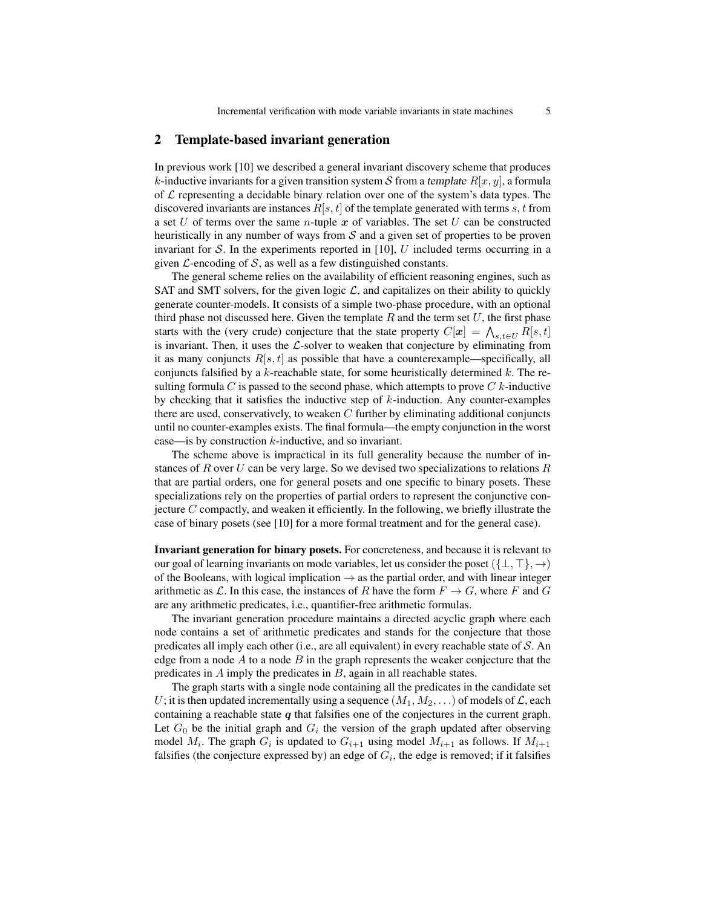### 2 Template-based invariant generation

In previous work [10] we described a general invariant discovery scheme that produces k-inductive invariants for a given transition system S from a template  $R[x, y]$ , a formula of  $L$  representing a decidable binary relation over one of the system's data types. The discovered invariants are instances  $R[s, t]$  of the template generated with terms s, t from a set U of terms over the same *n*-tuple x of variables. The set U can be constructed heuristically in any number of ways from  $S$  and a given set of properties to be proven invariant for S. In the experiments reported in [10], U included terms occurring in a given  $\mathcal{L}$ -encoding of  $\mathcal{S}$ , as well as a few distinguished constants.

The general scheme relies on the availability of efficient reasoning engines, such as SAT and SMT solvers, for the given logic  $\mathcal{L}$ , and capitalizes on their ability to quickly generate counter-models. It consists of a simple two-phase procedure, with an optional third phase not discussed here. Given the template  $R$  and the term set  $U$ , the first phase starts with the (very crude) conjecture that the state property  $C[\mathbf{x}] = \bigwedge_{s,t \in U} R[s,t]$ is invariant. Then, it uses the  $\mathcal{L}\text{-solver}$  to weaken that conjecture by eliminating from it as many conjuncts  $R[s, t]$  as possible that have a counterexample—specifically, all conjuncts falsified by a  $k$ -reachable state, for some heuristically determined  $k$ . The resulting formula C is passed to the second phase, which attempts to prove  $C$  k-inductive by checking that it satisfies the inductive step of  $k$ -induction. Any counter-examples there are used, conservatively, to weaken  $C$  further by eliminating additional conjuncts until no counter-examples exists. The final formula—the empty conjunction in the worst case—is by construction  $k$ -inductive, and so invariant.

The scheme above is impractical in its full generality because the number of instances of R over U can be very large. So we devised two specializations to relations  $R$ that are partial orders, one for general posets and one specific to binary posets. These specializations rely on the properties of partial orders to represent the conjunctive conjecture  $C$  compactly, and weaken it efficiently. In the following, we briefly illustrate the case of binary posets (see [10] for a more formal treatment and for the general case).

Invariant generation for binary posets. For concreteness, and because it is relevant to our goal of learning invariants on mode variables, let us consider the poset  $(\{\perp, \top\}, \rightarrow)$ of the Booleans, with logical implication  $\rightarrow$  as the partial order, and with linear integer arithmetic as  $\mathcal L$ . In this case, the instances of R have the form  $F \to G$ , where F and G are any arithmetic predicates, i.e., quantifier-free arithmetic formulas.

The invariant generation procedure maintains a directed acyclic graph where each node contains a set of arithmetic predicates and stands for the conjecture that those predicates all imply each other (i.e., are all equivalent) in every reachable state of  $S$ . An edge from a node  $A$  to a node  $B$  in the graph represents the weaker conjecture that the predicates in A imply the predicates in B, again in all reachable states.

The graph starts with a single node containing all the predicates in the candidate set U; it is then updated incrementally using a sequence  $(M_1, M_2, ...)$  of models of  $\mathcal{L}$ , each containing a reachable state  $q$  that falsifies one of the conjectures in the current graph. Let  $G_0$  be the initial graph and  $G_i$  the version of the graph updated after observing model  $M_i$ . The graph  $G_i$  is updated to  $G_{i+1}$  using model  $M_{i+1}$  as follows. If  $M_{i+1}$ falsifies (the conjecture expressed by) an edge of  $G_i$ , the edge is removed; if it falsifies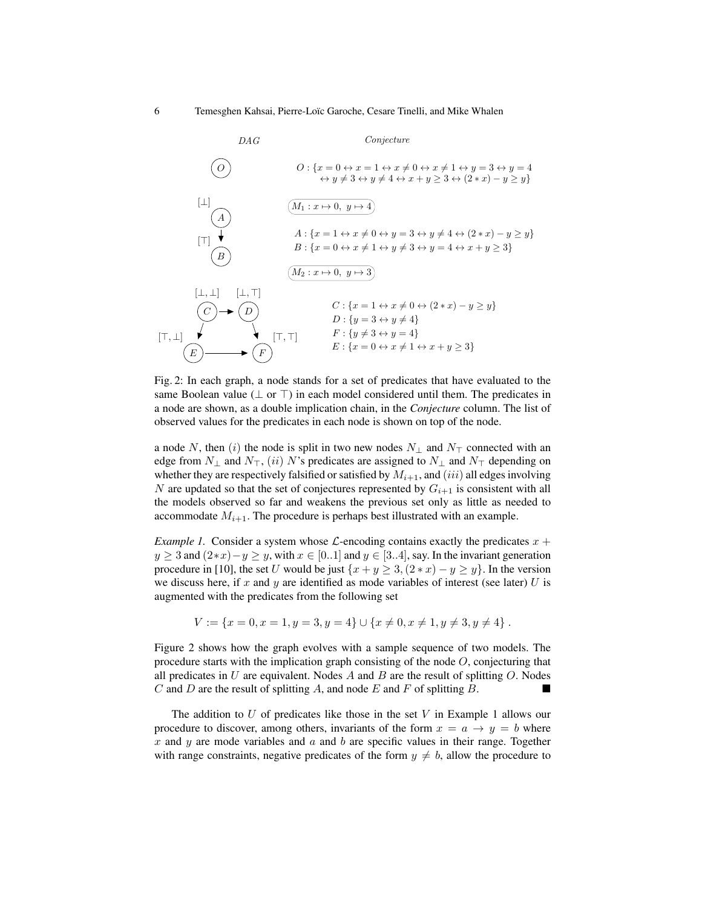

Fig. 2: In each graph, a node stands for a set of predicates that have evaluated to the same Boolean value ( $\perp$  or  $\perp$ ) in each model considered until them. The predicates in a node are shown, as a double implication chain, in the *Conjecture* column. The list of observed values for the predicates in each node is shown on top of the node.

a node N, then (i) the node is split in two new nodes  $N_{\perp}$  and  $N_{\perp}$  connected with an edge from  $N_{\perp}$  and  $N_{\perp}$ , (ii) N's predicates are assigned to  $N_{\perp}$  and  $N_{\perp}$  depending on whether they are respectively falsified or satisfied by  $M_{i+1}$ , and  $(iii)$  all edges involving N are updated so that the set of conjectures represented by  $G_{i+1}$  is consistent with all the models observed so far and weakens the previous set only as little as needed to accommodate  $M_{i+1}$ . The procedure is perhaps best illustrated with an example.

*Example 1.* Consider a system whose  $\mathcal{L}$ -encoding contains exactly the predicates  $x +$  $y \ge 3$  and  $(2*x)-y \ge y$ , with  $x \in [0,1]$  and  $y \in [3,4]$ , say. In the invariant generation procedure in [10], the set U would be just  $\{x + y \ge 3, (2 * x) - y \ge y\}$ . In the version we discuss here, if x and y are identified as mode variables of interest (see later) U is augmented with the predicates from the following set

$$
V := \{x = 0, x = 1, y = 3, y = 4\} \cup \{x \neq 0, x \neq 1, y \neq 3, y \neq 4\}.
$$

Figure 2 shows how the graph evolves with a sample sequence of two models. The procedure starts with the implication graph consisting of the node  $O$ , conjecturing that all predicates in  $U$  are equivalent. Nodes  $A$  and  $B$  are the result of splitting  $O$ . Nodes C and D are the result of splitting A, and node E and F of splitting B.

The addition to  $U$  of predicates like those in the set  $V$  in Example 1 allows our procedure to discover, among others, invariants of the form  $x = a \rightarrow y = b$  where  $x$  and  $y$  are mode variables and  $a$  and  $b$  are specific values in their range. Together with range constraints, negative predicates of the form  $y \neq b$ , allow the procedure to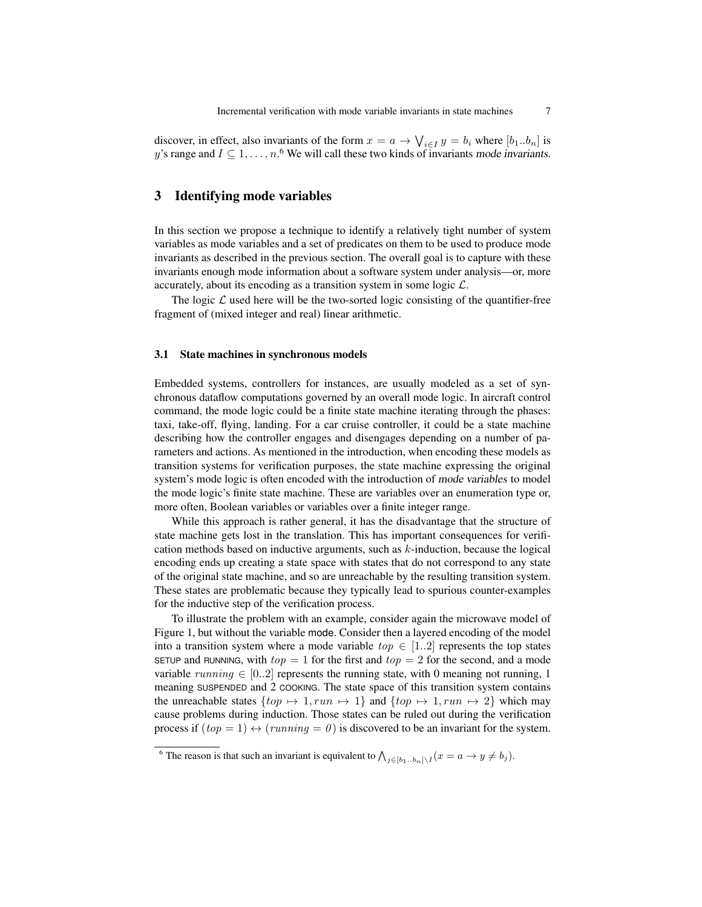discover, in effect, also invariants of the form  $x = a \rightarrow \bigvee_{i \in I} y = b_i$  where  $[b_1..b_n]$  is y's range and  $I \subseteq 1, \ldots, n$ .<sup>6</sup> We will call these two kinds of invariants mode invariants.

# 3 Identifying mode variables

In this section we propose a technique to identify a relatively tight number of system variables as mode variables and a set of predicates on them to be used to produce mode invariants as described in the previous section. The overall goal is to capture with these invariants enough mode information about a software system under analysis—or, more accurately, about its encoding as a transition system in some logic  $\mathcal{L}$ .

The logic  $\mathcal L$  used here will be the two-sorted logic consisting of the quantifier-free fragment of (mixed integer and real) linear arithmetic.

#### 3.1 State machines in synchronous models

Embedded systems, controllers for instances, are usually modeled as a set of synchronous dataflow computations governed by an overall mode logic. In aircraft control command, the mode logic could be a finite state machine iterating through the phases: taxi, take-off, flying, landing. For a car cruise controller, it could be a state machine describing how the controller engages and disengages depending on a number of parameters and actions. As mentioned in the introduction, when encoding these models as transition systems for verification purposes, the state machine expressing the original system's mode logic is often encoded with the introduction of mode variables to model the mode logic's finite state machine. These are variables over an enumeration type or, more often, Boolean variables or variables over a finite integer range.

While this approach is rather general, it has the disadvantage that the structure of state machine gets lost in the translation. This has important consequences for verification methods based on inductive arguments, such as k-induction, because the logical encoding ends up creating a state space with states that do not correspond to any state of the original state machine, and so are unreachable by the resulting transition system. These states are problematic because they typically lead to spurious counter-examples for the inductive step of the verification process.

To illustrate the problem with an example, consider again the microwave model of Figure 1, but without the variable mode. Consider then a layered encoding of the model into a transition system where a mode variable  $top \in [1..2]$  represents the top states SETUP and RUNNING, with  $top = 1$  for the first and  $top = 2$  for the second, and a mode variable running  $\in [0..2]$  represents the running state, with 0 meaning not running, 1 meaning SUSPENDED and 2 COOKING. The state space of this transition system contains the unreachable states  $\{top \mapsto 1, run \mapsto 1\}$  and  $\{top \mapsto 1, run \mapsto 2\}$  which may cause problems during induction. Those states can be ruled out during the verification process if  $(top = 1) \leftrightarrow (running = 0)$  is discovered to be an invariant for the system.

<sup>&</sup>lt;sup>6</sup> The reason is that such an invariant is equivalent to  $\bigwedge_{j \in [b_1..b_n] \setminus I} (x = a \rightarrow y \neq b_j)$ .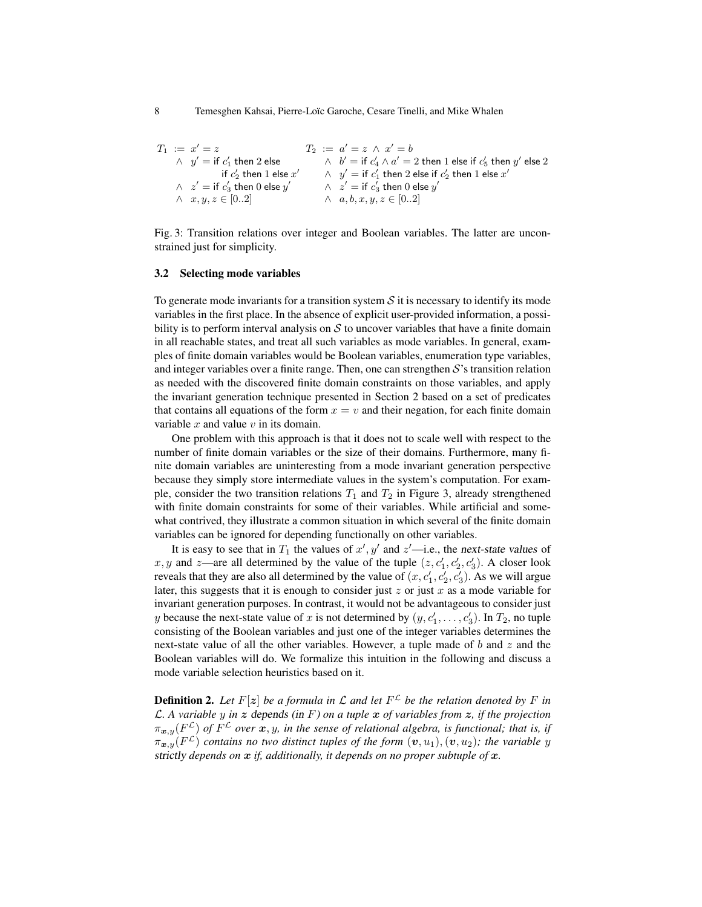8 Temesghen Kahsai, Pierre-Loïc Garoche, Cesare Tinelli, and Mike Whalen

|  | $T_1 := x' = z$                          |  | $T_2 := a' = z \wedge x' = b$                                                |
|--|------------------------------------------|--|------------------------------------------------------------------------------|
|  | $\wedge$ $y' =$ if $c'_1$ then 2 else    |  | $\wedge$ $b' =$ if $c'_4 \wedge a' = 2$ then 1 else if $c'_5$ then y' else 2 |
|  | if $c'_2$ then 1 else $x'$               |  | $\wedge$ $y' =$ if $c'_1$ then 2 else if $c'_2$ then 1 else $x'$             |
|  | $\wedge z' =$ if $c'_3$ then 0 else $y'$ |  | $\wedge z' =$ if $c'_3$ then 0 else $y'$                                     |
|  | $\wedge x, y, z \in [02]$                |  | $\wedge \, a, b, x, y, z \in [02]$                                           |

Fig. 3: Transition relations over integer and Boolean variables. The latter are unconstrained just for simplicity.

#### 3.2 Selecting mode variables

To generate mode invariants for a transition system  $S$  it is necessary to identify its mode variables in the first place. In the absence of explicit user-provided information, a possibility is to perform interval analysis on  $S$  to uncover variables that have a finite domain in all reachable states, and treat all such variables as mode variables. In general, examples of finite domain variables would be Boolean variables, enumeration type variables, and integer variables over a finite range. Then, one can strengthen S's transition relation as needed with the discovered finite domain constraints on those variables, and apply the invariant generation technique presented in Section 2 based on a set of predicates that contains all equations of the form  $x = v$  and their negation, for each finite domain variable  $x$  and value  $v$  in its domain.

One problem with this approach is that it does not to scale well with respect to the number of finite domain variables or the size of their domains. Furthermore, many finite domain variables are uninteresting from a mode invariant generation perspective because they simply store intermediate values in the system's computation. For example, consider the two transition relations  $T_1$  and  $T_2$  in Figure 3, already strengthened with finite domain constraints for some of their variables. While artificial and somewhat contrived, they illustrate a common situation in which several of the finite domain variables can be ignored for depending functionally on other variables.

It is easy to see that in  $T_1$  the values of  $x', y'$  and  $z'$ —i.e., the next-state values of x, y and z—are all determined by the value of the tuple  $(z, c'_1, c'_2, c'_3)$ . A closer look reveals that they are also all determined by the value of  $(x, c'_1, c'_2, c'_3)$ . As we will argue later, this suggests that it is enough to consider just  $z$  or just  $x$  as a mode variable for invariant generation purposes. In contrast, it would not be advantageous to consider just y because the next-state value of x is not determined by  $(y, c'_1, \ldots, c'_3)$ . In  $T_2$ , no tuple consisting of the Boolean variables and just one of the integer variables determines the next-state value of all the other variables. However, a tuple made of  $b$  and  $z$  and the Boolean variables will do. We formalize this intuition in the following and discuss a mode variable selection heuristics based on it.

**Definition 2.** Let  $F[z]$  be a formula in  $\mathcal L$  and let  $F^{\mathcal L}$  be the relation denoted by F in L*. A variable* y *in* z depends (in F) *on a tuple* x *of variables from* z*, if the projection*  $\pi_{\bm x, y}(F^{\mathcal L})$  of  $F^{\mathcal L}$  over  $\bm x, y$ , in the sense of relational algebra, is functional; that is, if  $\pi_{\bm x, y}(F^{\mathcal L})$  contains no two distinct tuples of the form  $(\bm v, u_1), (\bm v, u_2)$ ; the variable  $y$ strictly *depends on* x *if, additionally, it depends on no proper subtuple of* x*.*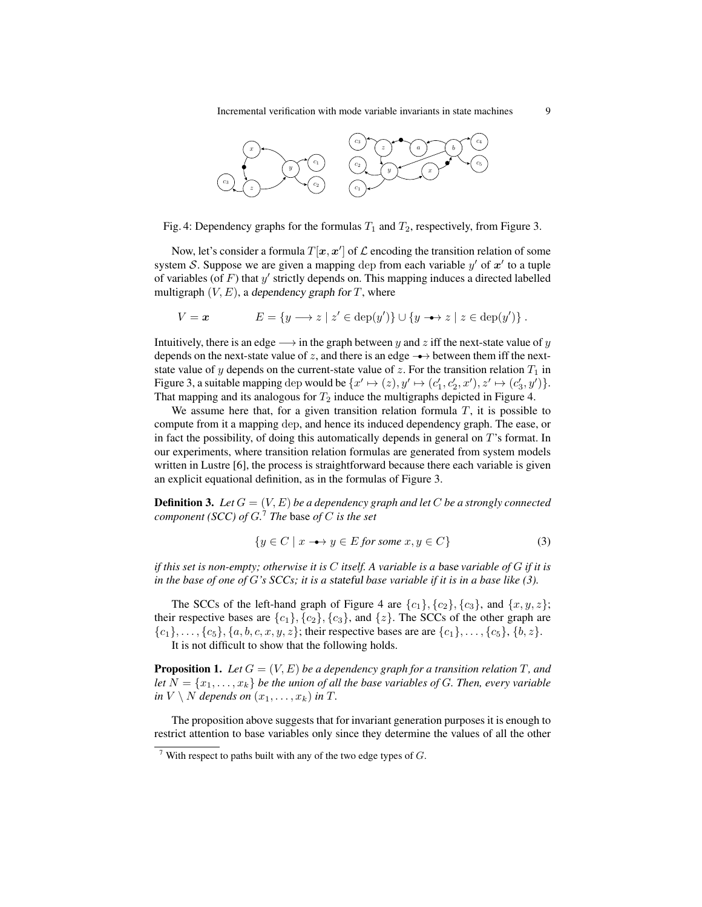

Fig. 4: Dependency graphs for the formulas  $T_1$  and  $T_2$ , respectively, from Figure 3.

Now, let's consider a formula  $T[\boldsymbol{x}, \boldsymbol{x}']$  of  $\boldsymbol{\mathcal{L}}$  encoding the transition relation of some system S. Suppose we are given a mapping dep from each variable  $y'$  of  $x'$  to a tuple of variables (of  $F$ ) that  $y'$  strictly depends on. This mapping induces a directed labelled multigraph  $(V, E)$ , a dependency graph for T, where

$$
V = x \qquad E = \{ y \longrightarrow z \mid z' \in \text{dep}(y') \} \cup \{ y \longrightarrow z \mid z \in \text{dep}(y') \} .
$$

Intuitively, there is an edge  $\longrightarrow$  in the graph between y and z iff the next-state value of y depends on the next-state value of z, and there is an edge  $\rightarrow$  between them iff the nextstate value of y depends on the current-state value of z. For the transition relation  $T_1$  in Figure 3, a suitable mapping dep would be  $\{x' \mapsto (z), y' \mapsto (c'_1, c'_2, x'), z' \mapsto (c'_3, y')\}.$ That mapping and its analogous for  $T_2$  induce the multigraphs depicted in Figure 4.

We assume here that, for a given transition relation formula  $T$ , it is possible to compute from it a mapping dep, and hence its induced dependency graph. The ease, or in fact the possibility, of doing this automatically depends in general on T's format. In our experiments, where transition relation formulas are generated from system models written in Lustre [6], the process is straightforward because there each variable is given an explicit equational definition, as in the formulas of Figure 3.

**Definition 3.** Let  $G = (V, E)$  be a dependency graph and let C be a strongly connected *component (SCC) of* G*.* <sup>7</sup> *The* base *of* C *is the set*

$$
\{y \in C \mid x \longrightarrow y \in E \text{ for some } x, y \in C\}
$$
\n
$$
(3)
$$

*if this set is non-empty; otherwise it is* C *itself. A variable is a* base *variable of* G *if it is in the base of one of* G*'s SCCs; it is a* stateful *base variable if it is in a base like (3).*

The SCCs of the left-hand graph of Figure 4 are  $\{c_1\}$ ,  $\{c_2\}$ ,  $\{c_3\}$ , and  $\{x, y, z\}$ ; their respective bases are  $\{c_1\}, \{c_2\}, \{c_3\}$ , and  $\{z\}$ . The SCCs of the other graph are  ${c_1}, \ldots, {c_5}, {a, b, c, x, y, z}$ ; their respective bases are are  ${c_1}, \ldots, {c_5}, {b, z}$ .

It is not difficult to show that the following holds.

**Proposition 1.** Let  $G = (V, E)$  be a dependency graph for a transition relation T, and *let*  $N = \{x_1, \ldots, x_k\}$  *be the union of all the base variables of G. Then, every variable in*  $V \setminus N$  *depends on*  $(x_1, \ldots, x_k)$  *in*  $T$ *.* 

The proposition above suggests that for invariant generation purposes it is enough to restrict attention to base variables only since they determine the values of all the other

<sup>&</sup>lt;sup>7</sup> With respect to paths built with any of the two edge types of  $G$ .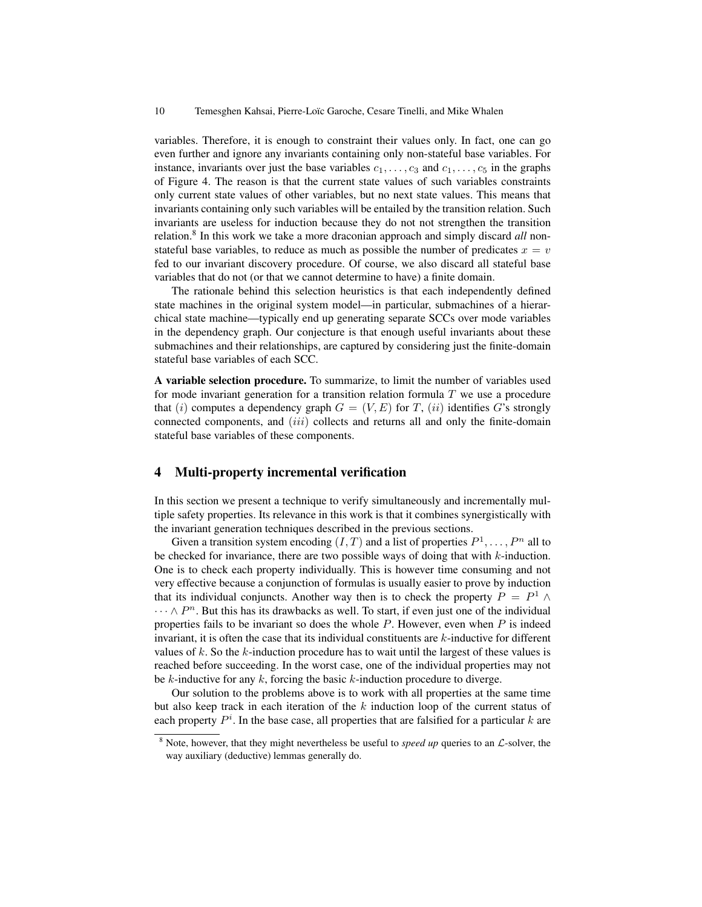variables. Therefore, it is enough to constraint their values only. In fact, one can go even further and ignore any invariants containing only non-stateful base variables. For instance, invariants over just the base variables  $c_1, \ldots, c_3$  and  $c_1, \ldots, c_5$  in the graphs of Figure 4. The reason is that the current state values of such variables constraints only current state values of other variables, but no next state values. This means that invariants containing only such variables will be entailed by the transition relation. Such invariants are useless for induction because they do not not strengthen the transition relation.<sup>8</sup> In this work we take a more draconian approach and simply discard *all* nonstateful base variables, to reduce as much as possible the number of predicates  $x = v$ fed to our invariant discovery procedure. Of course, we also discard all stateful base variables that do not (or that we cannot determine to have) a finite domain.

The rationale behind this selection heuristics is that each independently defined state machines in the original system model—in particular, submachines of a hierarchical state machine—typically end up generating separate SCCs over mode variables in the dependency graph. Our conjecture is that enough useful invariants about these submachines and their relationships, are captured by considering just the finite-domain stateful base variables of each SCC.

A variable selection procedure. To summarize, to limit the number of variables used for mode invariant generation for a transition relation formula  $T$  we use a procedure that (i) computes a dependency graph  $G = (V, E)$  for T, (ii) identifies G's strongly connected components, and (iii) collects and returns all and only the finite-domain stateful base variables of these components.

# 4 Multi-property incremental verification

In this section we present a technique to verify simultaneously and incrementally multiple safety properties. Its relevance in this work is that it combines synergistically with the invariant generation techniques described in the previous sections.

Given a transition system encoding  $(I, T)$  and a list of properties  $P^1, \ldots, P^n$  all to be checked for invariance, there are two possible ways of doing that with  $k$ -induction. One is to check each property individually. This is however time consuming and not very effective because a conjunction of formulas is usually easier to prove by induction that its individual conjuncts. Another way then is to check the property  $P = P^1 \wedge P^1$  $\cdots \wedge P^n$ . But this has its drawbacks as well. To start, if even just one of the individual properties fails to be invariant so does the whole  $P$ . However, even when  $P$  is indeed invariant, it is often the case that its individual constituents are  $k$ -inductive for different values of k. So the k-induction procedure has to wait until the largest of these values is reached before succeeding. In the worst case, one of the individual properties may not be  $k$ -inductive for any  $k$ , forcing the basic  $k$ -induction procedure to diverge.

Our solution to the problems above is to work with all properties at the same time but also keep track in each iteration of the  $k$  induction loop of the current status of each property  $P^i$ . In the base case, all properties that are falsified for a particular k are

 $8$  Note, however, that they might nevertheless be useful to *speed up* queries to an  $\mathcal{L}$ -solver, the way auxiliary (deductive) lemmas generally do.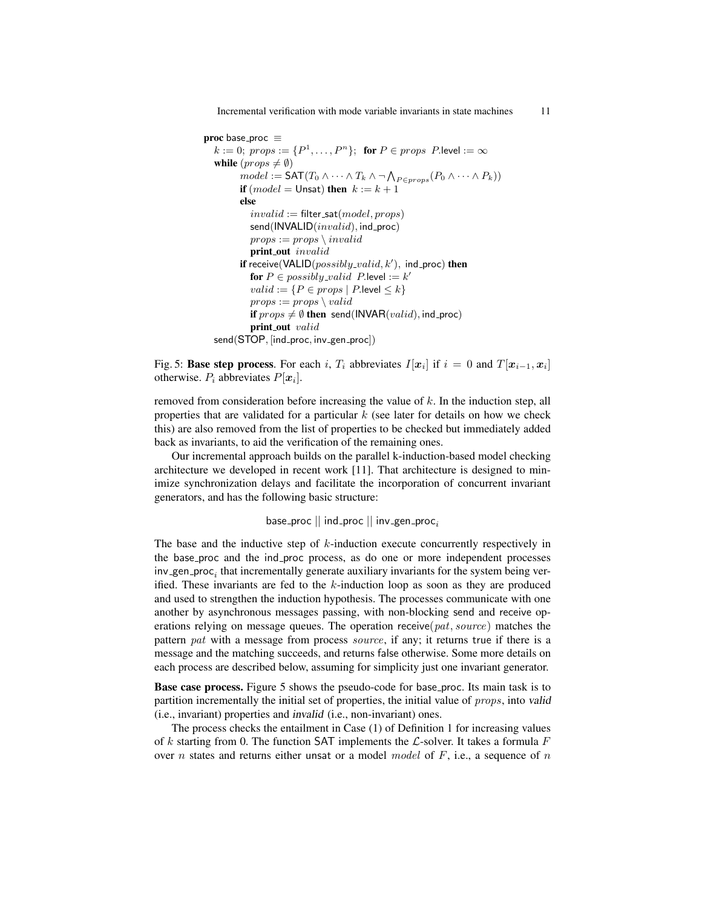```
proc base_proc \equivk := 0; \text{ props} := \{P^1, \ldots, P^n\}; \text{ for } P \in \text{props } \text{ P.}level := \inftywhile (props \neq \emptyset)model := \mathsf{SAT}(T_0 \wedge \cdots \wedge T_k \wedge \neg \bigwedge_{P \in props}(P_0 \wedge \cdots \wedge P_k))if (model = Unsat) then k := k + 1else
           invalid := filter\_sat(model,props)send(INVALID(invalid),ind\_proc)props := props \setminus invalidprint_out invalid
        if receive(VALID(possibly\_valid, k'), ind proc) then
           for P \in possibly\_valid P. level := k'valid := \{P \in props \mid P.\text{level} \leq k\}props := props \setminus validif props \neq \emptyset then send(INVAR(valid), ind proc)
           print_out valid
send(STOP, [ind_proc, inv_gen_proc])
```
Fig. 5: Base step process. For each i,  $T_i$  abbreviates  $I[x_i]$  if  $i = 0$  and  $T[x_{i-1}, x_i]$ otherwise.  $P_i$  abbreviates  $P[\boldsymbol{x}_i]$ .

removed from consideration before increasing the value of  $k$ . In the induction step, all properties that are validated for a particular  $k$  (see later for details on how we check this) are also removed from the list of properties to be checked but immediately added back as invariants, to aid the verification of the remaining ones.

Our incremental approach builds on the parallel k-induction-based model checking architecture we developed in recent work [11]. That architecture is designed to minimize synchronization delays and facilitate the incorporation of concurrent invariant generators, and has the following basic structure:

base\_proc  $||$  ind\_proc  $||$  inv\_gen\_proc<sub>i</sub>

The base and the inductive step of  $k$ -induction execute concurrently respectively in the base proc and the ind proc process, as do one or more independent processes inv gen proc<sub>i</sub> that incrementally generate auxiliary invariants for the system being verified. These invariants are fed to the  $k$ -induction loop as soon as they are produced and used to strengthen the induction hypothesis. The processes communicate with one another by asynchronous messages passing, with non-blocking send and receive operations relying on message queues. The operation receive( $pat, source$ ) matches the pattern pat with a message from process source, if any; it returns true if there is a message and the matching succeeds, and returns false otherwise. Some more details on each process are described below, assuming for simplicity just one invariant generator.

Base case process. Figure 5 shows the pseudo-code for base proc. Its main task is to partition incrementally the initial set of properties, the initial value of props, into valid (i.e., invariant) properties and invalid (i.e., non-invariant) ones.

The process checks the entailment in Case (1) of Definition 1 for increasing values of k starting from 0. The function SAT implements the  $\mathcal{L}$ -solver. It takes a formula F over *n* states and returns either unsat or a model model of F, i.e., a sequence of n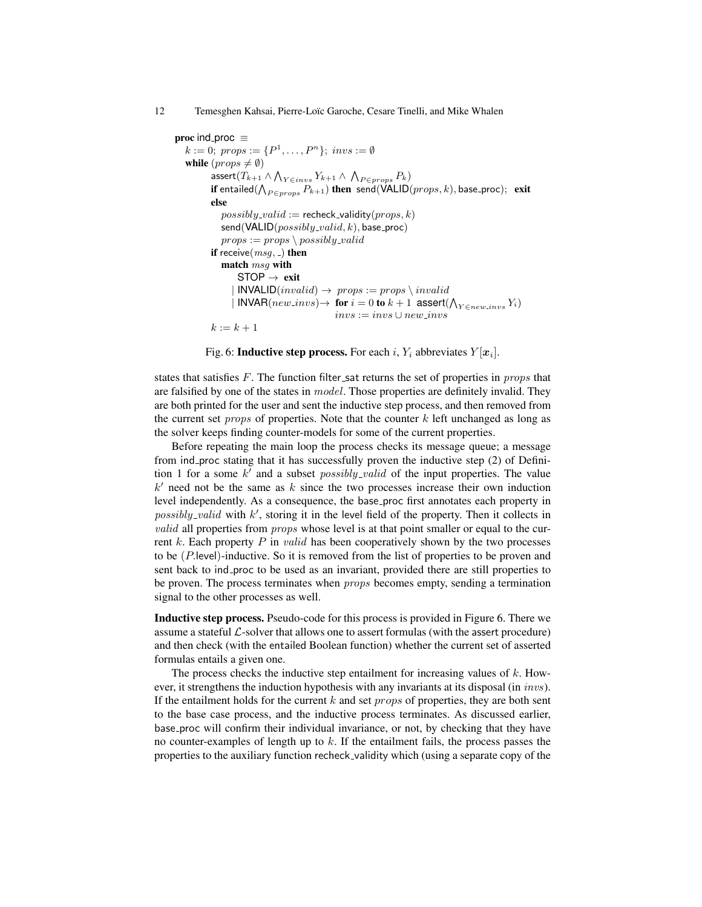#### 12 Temesghen Kahsai, Pierre-Loïc Garoche, Cesare Tinelli, and Mike Whalen

```
proc ind_proc \equivk := 0; \text{ props} := \{P^1, \ldots, P^n\}; \text{ invs} := \emptysetwhile (props \neq \emptyset)assert(T_{k+1} \wedge \bigwedge_{Y \in invs} Y_{k+1} \wedge \bigwedge_{P \in props} P_k){\bf if} entailed(\bigwedge_{P\in props}P_{k+1}) {\bf then}~~{\sf send}({\sf VALID}(props,k),{\sf base\_proc});~~{\bf exit}else
            possibly\_valid := recheck_validity(props, k)
            send(VALID(possibly\_valid, k), base\_proc)props := props \setminus possibly\_validif receive(msg,) then
            match msg with
                 STOP \rightarrow exit\text{INVALID}(invalid) \rightarrow \text{props} := \text{props} \setminus \text{invalid}| INVAR(new\_invs) \rightarrow for i = 0 to k + 1 assert(\bigwedge_{Y \in new\_invs} Y_i)invs := invs \cup new\_invsk := k + 1
```


states that satisfies  $F$ . The function filter sat returns the set of properties in *props* that are falsified by one of the states in *model*. Those properties are definitely invalid. They are both printed for the user and sent the inductive step process, and then removed from the current set *props* of properties. Note that the counter k left unchanged as long as the solver keeps finding counter-models for some of the current properties.

Before repeating the main loop the process checks its message queue; a message from ind proc stating that it has successfully proven the inductive step (2) of Definition 1 for a some  $k'$  and a subset *possibly valid* of the input properties. The value  $k'$  need not be the same as  $k$  since the two processes increase their own induction level independently. As a consequence, the base proc first annotates each property in  $possibly\_valid$  with  $k'$ , storing it in the level field of the property. Then it collects in *valid* all properties from *props* whose level is at that point smaller or equal to the current  $k$ . Each property  $P$  in *valid* has been cooperatively shown by the two processes to be  $(P{\text{-}}level{\text{-}}l$ -inductive. So it is removed from the list of properties to be proven and sent back to ind proc to be used as an invariant, provided there are still properties to be proven. The process terminates when *props* becomes empty, sending a termination signal to the other processes as well.

Inductive step process. Pseudo-code for this process is provided in Figure 6. There we assume a stateful  $\mathcal{L}$ -solver that allows one to assert formulas (with the assert procedure) and then check (with the entailed Boolean function) whether the current set of asserted formulas entails a given one.

The process checks the inductive step entailment for increasing values of  $k$ . However, it strengthens the induction hypothesis with any invariants at its disposal (in *invs*). If the entailment holds for the current  $k$  and set *props* of properties, they are both sent to the base case process, and the inductive process terminates. As discussed earlier, base proc will confirm their individual invariance, or not, by checking that they have no counter-examples of length up to  $k$ . If the entailment fails, the process passes the properties to the auxiliary function recheck validity which (using a separate copy of the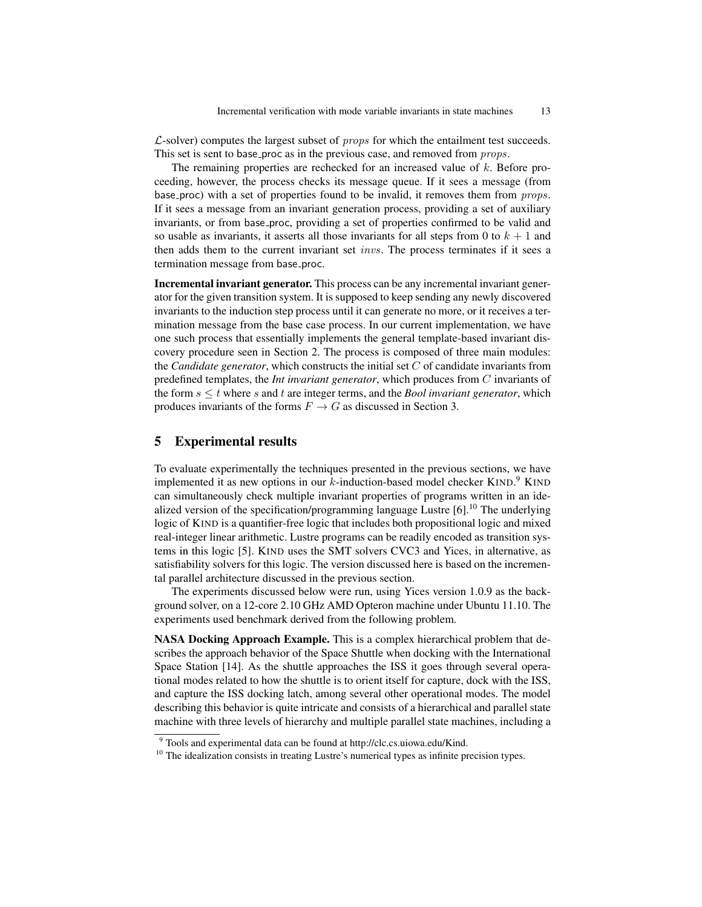$\mathcal{L}$ -solver) computes the largest subset of *props* for which the entailment test succeeds. This set is sent to base proc as in the previous case, and removed from *props*.

The remaining properties are rechecked for an increased value of k. Before proceeding, however, the process checks its message queue. If it sees a message (from base proc) with a set of properties found to be invalid, it removes them from props. If it sees a message from an invariant generation process, providing a set of auxiliary invariants, or from base proc, providing a set of properties confirmed to be valid and so usable as invariants, it asserts all those invariants for all steps from 0 to  $k + 1$  and then adds them to the current invariant set invs. The process terminates if it sees a termination message from base proc.

Incremental invariant generator. This process can be any incremental invariant generator for the given transition system. It is supposed to keep sending any newly discovered invariants to the induction step process until it can generate no more, or it receives a termination message from the base case process. In our current implementation, we have one such process that essentially implements the general template-based invariant discovery procedure seen in Section 2. The process is composed of three main modules: the *Candidate generator*, which constructs the initial set C of candidate invariants from predefined templates, the *Int invariant generator*, which produces from C invariants of the form s ≤ t where s and t are integer terms, and the *Bool invariant generator*, which produces invariants of the forms  $F \to G$  as discussed in Section 3.

## 5 Experimental results

To evaluate experimentally the techniques presented in the previous sections, we have implemented it as new options in our  $k$ -induction-based model checker KIND.<sup>9</sup> KIND can simultaneously check multiple invariant properties of programs written in an idealized version of the specification/programming language Lustre  $[6]$ .<sup>10</sup> The underlying logic of KIND is a quantifier-free logic that includes both propositional logic and mixed real-integer linear arithmetic. Lustre programs can be readily encoded as transition systems in this logic [5]. KIND uses the SMT solvers CVC3 and Yices, in alternative, as satisfiability solvers for this logic. The version discussed here is based on the incremental parallel architecture discussed in the previous section.

The experiments discussed below were run, using Yices version 1.0.9 as the background solver, on a 12-core 2.10 GHz AMD Opteron machine under Ubuntu 11.10. The experiments used benchmark derived from the following problem.

NASA Docking Approach Example. This is a complex hierarchical problem that describes the approach behavior of the Space Shuttle when docking with the International Space Station [14]. As the shuttle approaches the ISS it goes through several operational modes related to how the shuttle is to orient itself for capture, dock with the ISS, and capture the ISS docking latch, among several other operational modes. The model describing this behavior is quite intricate and consists of a hierarchical and parallel state machine with three levels of hierarchy and multiple parallel state machines, including a

<sup>9</sup> Tools and experimental data can be found at http://clc.cs.uiowa.edu/Kind.

 $10$  The idealization consists in treating Lustre's numerical types as infinite precision types.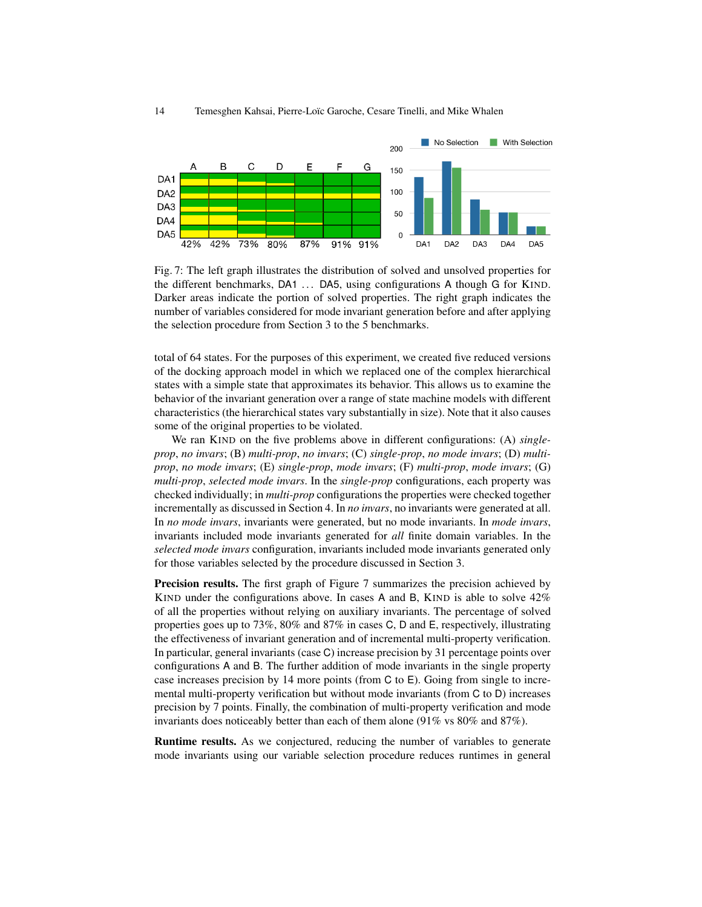

Fig. 7: The left graph illustrates the distribution of solved and unsolved properties for the different benchmarks, DA1 ... DA5, using configurations A though G for KIND. Darker areas indicate the portion of solved properties. The right graph indicates the number of variables considered for mode invariant generation before and after applying the selection procedure from Section 3 to the 5 benchmarks.

total of 64 states. For the purposes of this experiment, we created five reduced versions of the docking approach model in which we replaced one of the complex hierarchical states with a simple state that approximates its behavior. This allows us to examine the behavior of the invariant generation over a range of state machine models with different characteristics (the hierarchical states vary substantially in size). Note that it also causes some of the original properties to be violated.

We ran KIND on the five problems above in different configurations: (A) *singleprop*, *no invars*; (B) *multi-prop*, *no invars*; (C) *single-prop*, *no mode invars*; (D) *multiprop*, *no mode invars*; (E) *single-prop*, *mode invars*; (F) *multi-prop*, *mode invars*; (G) *multi-prop*, *selected mode invars*. In the *single-prop* configurations, each property was checked individually; in *multi-prop* configurations the properties were checked together incrementally as discussed in Section 4. In *no invars*, no invariants were generated at all. In *no mode invars*, invariants were generated, but no mode invariants. In *mode invars*, invariants included mode invariants generated for *all* finite domain variables. In the *selected mode invars* configuration, invariants included mode invariants generated only for those variables selected by the procedure discussed in Section 3.

Precision results. The first graph of Figure 7 summarizes the precision achieved by KIND under the configurations above. In cases A and B, KIND is able to solve 42% of all the properties without relying on auxiliary invariants. The percentage of solved properties goes up to 73%, 80% and 87% in cases C, D and E, respectively, illustrating the effectiveness of invariant generation and of incremental multi-property verification. In particular, general invariants (case C) increase precision by 31 percentage points over configurations A and B. The further addition of mode invariants in the single property case increases precision by 14 more points (from C to  $E$ ). Going from single to incremental multi-property verification but without mode invariants (from C to D) increases precision by 7 points. Finally, the combination of multi-property verification and mode invariants does noticeably better than each of them alone (91% vs 80% and 87%).

Runtime results. As we conjectured, reducing the number of variables to generate mode invariants using our variable selection procedure reduces runtimes in general